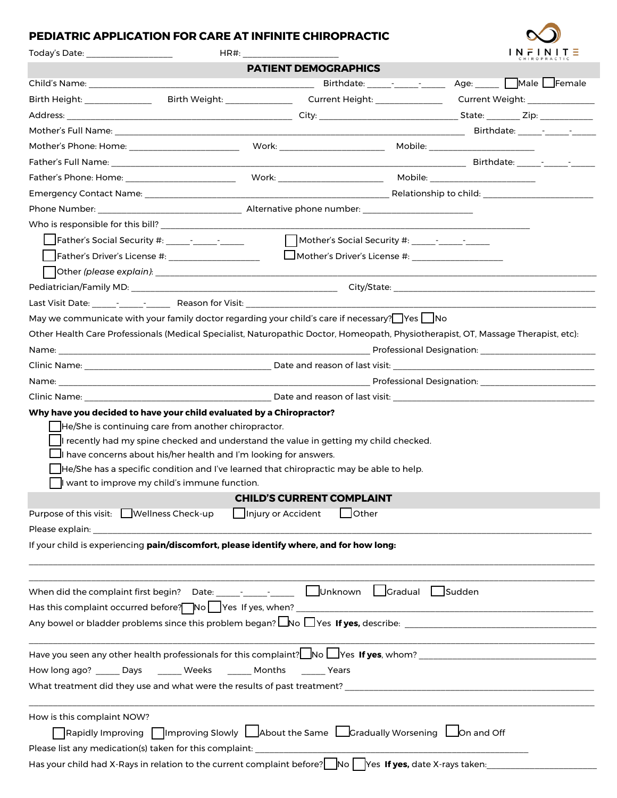## **PEDIATRIC APPLICATION FOR CARE AT INFINITE CHIROPRACTIC**

| Today's Date: the control of the control of the control of the control of the control of the control of the co |                                                                                                                                                                                                                                                                                                                                                                             | HR#: ___________________         |              | $IN$ $F$ $IN$ $I$ $T \equiv$                                         |  |
|----------------------------------------------------------------------------------------------------------------|-----------------------------------------------------------------------------------------------------------------------------------------------------------------------------------------------------------------------------------------------------------------------------------------------------------------------------------------------------------------------------|----------------------------------|--------------|----------------------------------------------------------------------|--|
|                                                                                                                |                                                                                                                                                                                                                                                                                                                                                                             | <b>PATIENT DEMOGRAPHICS</b>      |              |                                                                      |  |
|                                                                                                                |                                                                                                                                                                                                                                                                                                                                                                             |                                  |              |                                                                      |  |
|                                                                                                                |                                                                                                                                                                                                                                                                                                                                                                             |                                  |              |                                                                      |  |
|                                                                                                                |                                                                                                                                                                                                                                                                                                                                                                             |                                  |              |                                                                      |  |
|                                                                                                                |                                                                                                                                                                                                                                                                                                                                                                             |                                  |              |                                                                      |  |
|                                                                                                                |                                                                                                                                                                                                                                                                                                                                                                             |                                  |              |                                                                      |  |
|                                                                                                                |                                                                                                                                                                                                                                                                                                                                                                             |                                  |              |                                                                      |  |
|                                                                                                                | Father's Phone: Home: __________________________                                                                                                                                                                                                                                                                                                                            |                                  |              |                                                                      |  |
|                                                                                                                |                                                                                                                                                                                                                                                                                                                                                                             |                                  |              |                                                                      |  |
|                                                                                                                |                                                                                                                                                                                                                                                                                                                                                                             |                                  |              |                                                                      |  |
|                                                                                                                |                                                                                                                                                                                                                                                                                                                                                                             |                                  |              |                                                                      |  |
|                                                                                                                |                                                                                                                                                                                                                                                                                                                                                                             |                                  |              |                                                                      |  |
|                                                                                                                | $\Box$ Father's Driver's License #: _______________________       Mother's Driver's License #: _____________________                                                                                                                                                                                                                                                        |                                  |              |                                                                      |  |
|                                                                                                                |                                                                                                                                                                                                                                                                                                                                                                             |                                  |              |                                                                      |  |
|                                                                                                                |                                                                                                                                                                                                                                                                                                                                                                             |                                  |              |                                                                      |  |
|                                                                                                                |                                                                                                                                                                                                                                                                                                                                                                             |                                  |              | <u> 1989 - Johann Barbara, martin da kasar Amerikaansk politik (</u> |  |
|                                                                                                                | May we communicate with your family doctor regarding your child's care if necessary? Yes No                                                                                                                                                                                                                                                                                 |                                  |              |                                                                      |  |
|                                                                                                                | Other Health Care Professionals (Medical Specialist, Naturopathic Doctor, Homeopath, Physiotherapist, OT, Massage Therapist, etc):                                                                                                                                                                                                                                          |                                  |              |                                                                      |  |
|                                                                                                                |                                                                                                                                                                                                                                                                                                                                                                             |                                  |              |                                                                      |  |
|                                                                                                                |                                                                                                                                                                                                                                                                                                                                                                             |                                  |              |                                                                      |  |
|                                                                                                                |                                                                                                                                                                                                                                                                                                                                                                             |                                  |              | Professional Designation: _____________________________              |  |
|                                                                                                                |                                                                                                                                                                                                                                                                                                                                                                             |                                  |              |                                                                      |  |
|                                                                                                                | He/She is continuing care from another chiropractor.<br>I recently had my spine checked and understand the value in getting my child checked.<br>$\blacksquare$ I have concerns about his/her health and I'm looking for answers.<br>He/She has a specific condition and I've learned that chiropractic may be able to help.<br>want to improve my child's immune function. |                                  |              |                                                                      |  |
|                                                                                                                |                                                                                                                                                                                                                                                                                                                                                                             | <b>CHILD'S CURRENT COMPLAINT</b> |              |                                                                      |  |
|                                                                                                                | Purpose of this visit: Wellness Check-up                                                                                                                                                                                                                                                                                                                                    | Injury or Accident               | $\Box$ Other |                                                                      |  |
|                                                                                                                |                                                                                                                                                                                                                                                                                                                                                                             |                                  |              |                                                                      |  |
|                                                                                                                | If your child is experiencing pain/discomfort, please identify where, and for how long:                                                                                                                                                                                                                                                                                     |                                  |              |                                                                      |  |
|                                                                                                                |                                                                                                                                                                                                                                                                                                                                                                             |                                  |              |                                                                      |  |
|                                                                                                                |                                                                                                                                                                                                                                                                                                                                                                             |                                  |              |                                                                      |  |
|                                                                                                                |                                                                                                                                                                                                                                                                                                                                                                             |                                  |              |                                                                      |  |
|                                                                                                                | How long ago? ______ Days _______ Weeks _______ Months _______ Years                                                                                                                                                                                                                                                                                                        |                                  |              |                                                                      |  |
|                                                                                                                |                                                                                                                                                                                                                                                                                                                                                                             |                                  |              |                                                                      |  |
|                                                                                                                |                                                                                                                                                                                                                                                                                                                                                                             |                                  |              |                                                                      |  |
| How is this complaint NOW?                                                                                     | Rapidly Improving $\Box$ Improving Slowly $\Box$ About the Same $\Box$ Gradually Worsening $\Box$ On and Off<br>Please list any medication(s) taken for this complaint: ________________________                                                                                                                                                                            |                                  |              |                                                                      |  |

Has your child had X-Rays in relation to the current complaint before? No Yes If yes, date X-rays taken: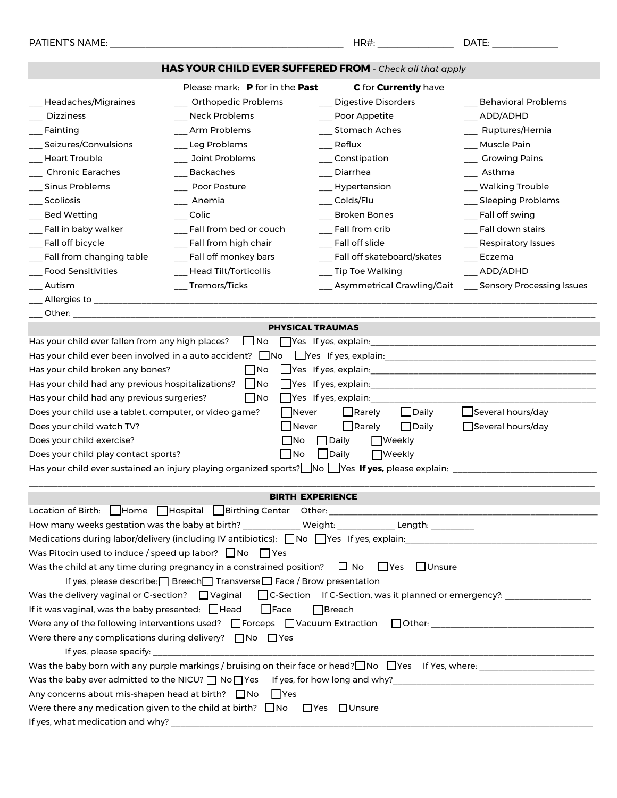| PATIENT'S NAME:                                                                                                                                                                       |                                                                                                         | HR#:                           | DATE: ____________           |
|---------------------------------------------------------------------------------------------------------------------------------------------------------------------------------------|---------------------------------------------------------------------------------------------------------|--------------------------------|------------------------------|
|                                                                                                                                                                                       | HAS YOUR CHILD EVER SUFFERED FROM - Check all that apply                                                |                                |                              |
|                                                                                                                                                                                       | Please mark: P for in the Past                                                                          | C for <b>Currently</b> have    |                              |
| Headaches/Migraines                                                                                                                                                                   | __ Orthopedic Problems                                                                                  | Digestive Disorders            | Behavioral Problems          |
| <b>Dizziness</b>                                                                                                                                                                      | ___ Neck Problems                                                                                       | __ Poor Appetite               | __ADD/ADHD                   |
| Fainting                                                                                                                                                                              | _Arm Problems                                                                                           | Stomach Aches                  | __ Ruptures/Hernia           |
| Seizures/Convulsions                                                                                                                                                                  | __ Leg Problems                                                                                         | Reflux                         | Muscle Pain                  |
| <b>Heart Trouble</b>                                                                                                                                                                  | ___ Joint Problems                                                                                      | ___ Constipation               | ___ Growing Pains            |
| <b>Chronic Earaches</b>                                                                                                                                                               | Backaches                                                                                               | Diarrhea                       | __ Asthma                    |
| <b>Sinus Problems</b>                                                                                                                                                                 | Poor Posture                                                                                            | ___ Hypertension               | __ Walking Trouble           |
| Scoliosis                                                                                                                                                                             | Anemia                                                                                                  | Colds/Flu                      | __ Sleeping Problems         |
| <b>Bed Wetting</b>                                                                                                                                                                    | Colic                                                                                                   | __ Broken Bones                | __ Fall off swing            |
| Fall in baby walker                                                                                                                                                                   | __ Fall from bed or couch                                                                               | Fall from crib                 | Fall down stairs             |
| Fall off bicycle                                                                                                                                                                      | __ Fall from high chair                                                                                 | Fall off slide                 | __ Respiratory Issues        |
| _ Fall from changing table                                                                                                                                                            | ___ Fall off monkey bars                                                                                | ___ Fall off skateboard/skates | Eczema                       |
| <b>Food Sensitivities</b>                                                                                                                                                             | __ Head Tilt/Torticollis                                                                                | ___ Tip Toe Walking            | __ ADD/ADHD                  |
| Autism                                                                                                                                                                                | __Tremors/Ticks                                                                                         | __ Asymmetrical Crawling/Gait  | __ Sensory Processing Issues |
|                                                                                                                                                                                       |                                                                                                         |                                |                              |
| Other: when the contract of the contract of the contract of the contract of the contract of the contract of the                                                                       |                                                                                                         |                                |                              |
|                                                                                                                                                                                       | <b>PHYSICAL TRAUMAS</b>                                                                                 |                                |                              |
| Has your child ever fallen from any high places?                                                                                                                                      | $\Box$ No                                                                                               | Yes If yes, explain:           |                              |
|                                                                                                                                                                                       |                                                                                                         |                                |                              |
| Has your child broken any bones?                                                                                                                                                      | $\Box$ No                                                                                               |                                |                              |
| Has your child had any previous hospitalizations?   No                                                                                                                                |                                                                                                         |                                |                              |
| Has your child had any previous surgeries?                                                                                                                                            | $\Box$ No                                                                                               | $\Box$ Yes If yes, explain:    |                              |
| Does your child use a tablet, computer, or video game?                                                                                                                                | Never                                                                                                   | $\Box$ Daily<br>$\Box$ Rarely  | Several hours/day            |
| Does your child watch TV?                                                                                                                                                             | Never                                                                                                   | $\Box$ Rarely<br>$\Box$ Daily  | Several hours/day            |
| Does your child exercise?                                                                                                                                                             | ∣_lNo                                                                                                   | $\Box$ Daily<br>  Weekly       |                              |
| Does your child play contact sports?                                                                                                                                                  | ∟lNo                                                                                                    | $\Box$ Daily<br>$\Box$ Weekly  |                              |
|                                                                                                                                                                                       | Has your child ever sustained an injury playing organized sports? No $\Box$ Yes If yes, please explain: |                                |                              |
|                                                                                                                                                                                       |                                                                                                         |                                |                              |
|                                                                                                                                                                                       | <b>BIRTH EXPERIENCE</b>                                                                                 |                                |                              |
|                                                                                                                                                                                       |                                                                                                         |                                |                              |
| How many weeks gestation was the baby at birth? ____________ Weight: ____________ Length: _________                                                                                   |                                                                                                         |                                |                              |
| Medications during labor/delivery (including IV antibiotics): No Nes If yes, explain: 1997-1998 Medications during labor/delivery (including IV antibiotics): No Nes If yes, explain: |                                                                                                         |                                |                              |
| Was Pitocin used to induce / speed up labor? $\Box$ No $\Box$ Yes                                                                                                                     |                                                                                                         |                                |                              |
| $\Box$ Yes $\Box$ Unsure<br>Was the child at any time during pregnancy in a constrained position? $\Box$ No                                                                           |                                                                                                         |                                |                              |
| If yes, please describe: Breech Transverse Face / Brow presentation                                                                                                                   |                                                                                                         |                                |                              |
| Was the delivery vaginal or C-section? $\Box$ Vaginal $\Box$ C-Section If C-Section, was it planned or emergency?: $\Box$                                                             |                                                                                                         |                                |                              |
| If it was vaginal, was the baby presented: $\Box$ Head<br>$\Box$ Face<br>$\Box$ Breech                                                                                                |                                                                                                         |                                |                              |
| Were any of the following interventions used? □Forceps □Vacuum Extraction □Other: ___________________________________                                                                 |                                                                                                         |                                |                              |
| Were there any complications during delivery? $\Box$ No $\Box$ Yes                                                                                                                    |                                                                                                         |                                |                              |
|                                                                                                                                                                                       |                                                                                                         |                                |                              |
|                                                                                                                                                                                       |                                                                                                         |                                |                              |
|                                                                                                                                                                                       |                                                                                                         |                                |                              |
| Any concerns about mis-shapen head at birth? $\Box$ No<br>I Yes                                                                                                                       |                                                                                                         |                                |                              |
|                                                                                                                                                                                       | Were there any medication given to the child at birth? $\Box$ No $\Box$ Yes $\Box$ Unsure               |                                |                              |
|                                                                                                                                                                                       |                                                                                                         |                                |                              |
|                                                                                                                                                                                       |                                                                                                         |                                |                              |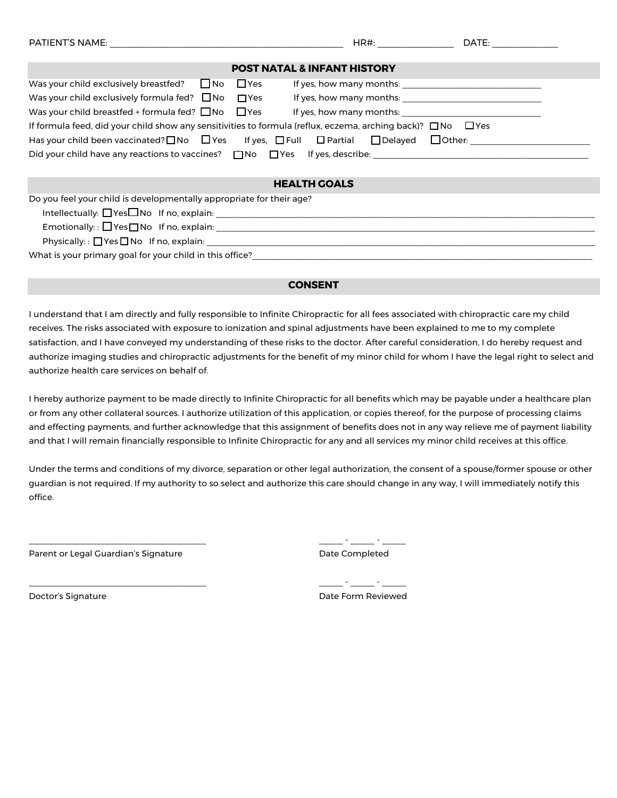| PATIENT'S NAME: THE RESERVE THAT IS NOT THE RESERVE THAT IS NOT THE RESERVE THAT IS NOT THE RESERVE THAT IS NO               |            | HR#:                                              | DATE:         |
|------------------------------------------------------------------------------------------------------------------------------|------------|---------------------------------------------------|---------------|
|                                                                                                                              |            | <b>POST NATAL &amp; INFANT HISTORY</b>            |               |
| Was your child exclusively breastfed? $\Box$ No                                                                              | $\Box$ Yes | If yes, how many months: If yes, how many months: |               |
| Was your child exclusively formula fed? $\Box$ No $\Box$ Yes                                                                 |            | If yes, how many months: If yes, how many months: |               |
| Was your child breastfed + formula fed? $\Box$ No $\Box$ Yes                                                                 |            | If yes, how many months:                          |               |
| If formula feed, did your child show any sensitivities to formula (reflux, eczema, arching back)? $\square$ No $\square$ Yes |            |                                                   |               |
| Has your child been vaccinated? $\Box$ No $\Box$ Yes If yes, $\Box$ Full $\Box$ Partial $\Box$ Delayed                       |            |                                                   | $\Box$ Other: |
| Did your child have any reactions to vaccines? $\Box$ No $\Box$ Yes If yes, describe:                                        |            |                                                   |               |
|                                                                                                                              |            |                                                   |               |

#### **HEALTH GOALS**

Do you feel your child is developmentally appropriate for their age?

Intellectually:  $\Box$  Yes $\Box$  No If no, explain:

Emotionally: : ¡ Yes ¡ No If no, explain: \_\_\_\_\_\_\_\_\_\_\_\_\_\_\_\_\_\_\_\_\_\_\_\_\_\_\_\_\_\_\_\_\_\_\_\_\_\_\_\_\_\_\_\_\_\_\_\_\_\_\_\_\_\_\_\_\_\_\_\_\_\_\_\_\_\_\_\_\_\_\_\_\_\_\_\_\_\_\_

Physically: :  $\Box$  Yes  $\Box$  No If no, explain:

What is your primary goal for your child in this office?\_\_\_\_\_\_\_\_\_\_\_\_\_\_\_\_\_\_\_\_\_\_\_\_

#### **CONSENT**

I understand that I am directly and fully responsible to Infinite Chiropractic for all fees associated with chiropractic care my child receives. The risks associated with exposure to ionization and spinal adjustments have been explained to me to my complete satisfaction, and I have conveyed my understanding of these risks to the doctor. After careful consideration, I do hereby request and authorize imaging studies and chiropractic adjustments for the benefit of my minor child for whom I have the legal right to select and authorize health care services on behalf of.

I hereby authorize payment to be made directly to Infinite Chiropractic for all benefits which may be payable under a healthcare plan or from any other collateral sources. I authorize utilization of this application, or copies thereof, for the purpose of processing claims and effecting payments, and further acknowledge that this assignment of benefits does not in any way relieve me of payment liability and that I will remain financially responsible to Infinite Chiropractic for any and all services my minor child receives at this office.

Under the terms and conditions of my divorce, separation or other legal authorization, the consent of a spouse/former spouse or other guardian is not required. If my authority to so select and authorize this care should change in any way, I will immediately notify this office.

Parent or Legal Guardian's Signature **Parent of Legal Completed** 

\_\_\_\_\_\_\_\_\_\_\_\_\_\_\_\_\_\_\_\_\_\_\_\_\_\_\_\_\_\_\_\_\_\_\_\_\_ \_\_\_\_\_ - \_\_\_\_\_ - \_\_\_\_\_

\_\_\_\_\_\_\_\_\_\_\_\_\_\_\_\_\_\_\_\_\_\_\_\_\_\_\_\_\_\_\_\_\_\_\_\_\_ \_\_\_\_\_ - \_\_\_\_\_ - \_\_\_\_\_ Doctor's Signature Date Form Reviewed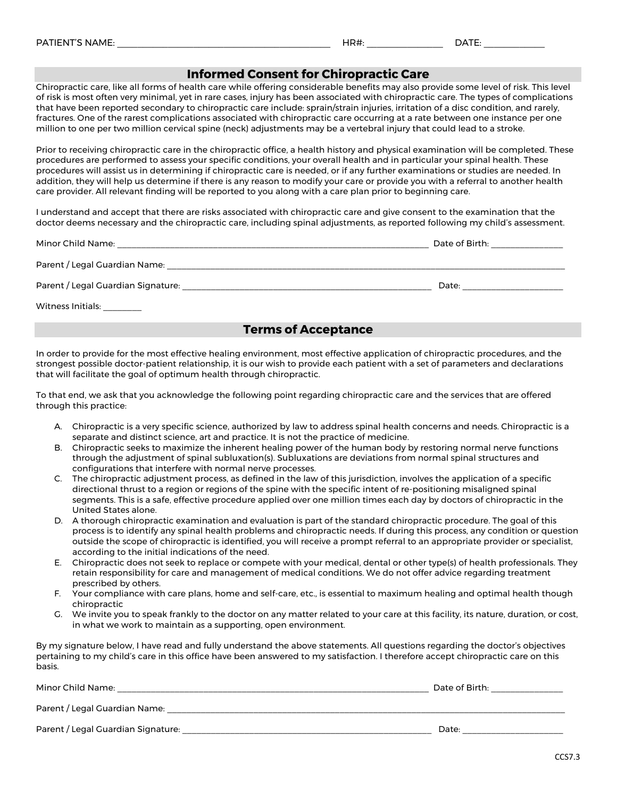#### **Informed Consent for Chiropractic Care**

Chiropractic care, like all forms of health care while offering considerable benefits may also provide some level of risk. This level of risk is most often very minimal, yet in rare cases, injury has been associated with chiropractic care. The types of complications that have been reported secondary to chiropractic care include: sprain/strain injuries, irritation of a disc condition, and rarely, fractures. One of the rarest complications associated with chiropractic care occurring at a rate between one instance per one million to one per two million cervical spine (neck) adjustments may be a vertebral injury that could lead to a stroke.

Prior to receiving chiropractic care in the chiropractic office, a health history and physical examination will be completed. These procedures are performed to assess your specific conditions, your overall health and in particular your spinal health. These procedures will assist us in determining if chiropractic care is needed, or if any further examinations or studies are needed. In addition, they will help us determine if there is any reason to modify your care or provide you with a referral to another health care provider. All relevant finding will be reported to you along with a care plan prior to beginning care.

I understand and accept that there are risks associated with chiropractic care and give consent to the examination that the doctor deems necessary and the chiropractic care, including spinal adjustments, as reported following my child's assessment.

| Minor Child Name:                  | Date of Birth: |
|------------------------------------|----------------|
| Parent / Legal Guardian Name:      |                |
| Parent / Legal Guardian Signature: | Date:          |
| Witness Initials:                  |                |

## **Terms of Acceptance**

In order to provide for the most effective healing environment, most effective application of chiropractic procedures, and the strongest possible doctor-patient relationship, it is our wish to provide each patient with a set of parameters and declarations that will facilitate the goal of optimum health through chiropractic.

To that end, we ask that you acknowledge the following point regarding chiropractic care and the services that are offered through this practice:

- A. Chiropractic is a very specific science, authorized by law to address spinal health concerns and needs. Chiropractic is a separate and distinct science, art and practice. It is not the practice of medicine.
- B. Chiropractic seeks to maximize the inherent healing power of the human body by restoring normal nerve functions through the adjustment of spinal subluxation(s). Subluxations are deviations from normal spinal structures and configurations that interfere with normal nerve processes.
- C. The chiropractic adjustment process, as defined in the law of this jurisdiction, involves the application of a specific directional thrust to a region or regions of the spine with the specific intent of re-positioning misaligned spinal segments. This is a safe, effective procedure applied over one million times each day by doctors of chiropractic in the United States alone.
- D. A thorough chiropractic examination and evaluation is part of the standard chiropractic procedure. The goal of this process is to identify any spinal health problems and chiropractic needs. If during this process, any condition or question outside the scope of chiropractic is identified, you will receive a prompt referral to an appropriate provider or specialist, according to the initial indications of the need.
- E. Chiropractic does not seek to replace or compete with your medical, dental or other type(s) of health professionals. They retain responsibility for care and management of medical conditions. We do not offer advice regarding treatment prescribed by others.
- F. Your compliance with care plans, home and self-care, etc., is essential to maximum healing and optimal health though chiropractic
- G. We invite you to speak frankly to the doctor on any matter related to your care at this facility, its nature, duration, or cost, in what we work to maintain as a supporting, open environment.

By my signature below, I have read and fully understand the above statements. All questions regarding the doctor's objectives pertaining to my child's care in this office have been answered to my satisfaction. I therefore accept chiropractic care on this basis.

| Minor Child Name:                  | Date of Birth: |  |  |
|------------------------------------|----------------|--|--|
| Parent / Legal Guardian Name:      |                |  |  |
| Parent / Legal Guardian Signature: | Date:          |  |  |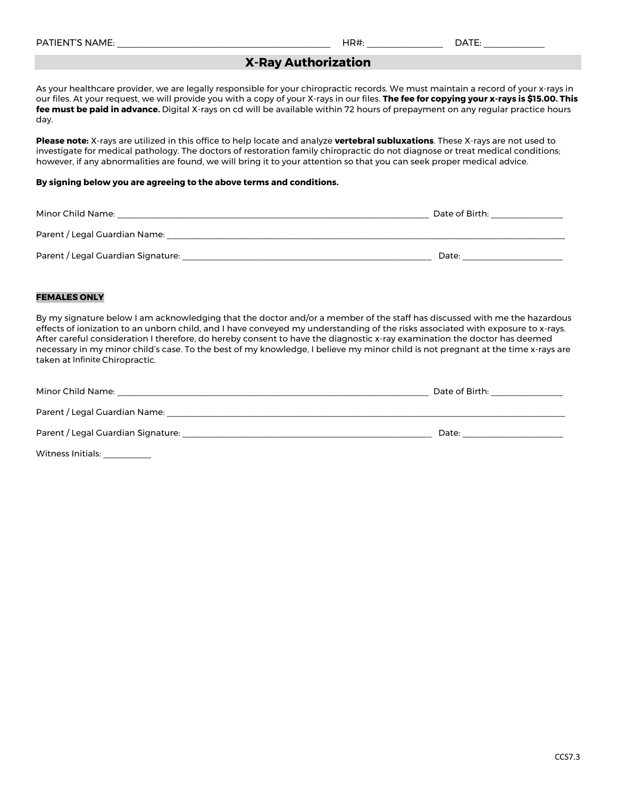| .<br>DATI <sup>-</sup><br>$F - N$<br>`NAME. | $\overline{\phantom{a}}$<br>. אכו<br>היו | $-$ |
|---------------------------------------------|------------------------------------------|-----|
|                                             |                                          |     |

## **X-Ray Authorization**

As your healthcare provider, we are legally responsible for your chiropractic records. We must maintain a record of your x-rays in our files. At your request, we will provide you with a copy of your X-rays in our files. **The fee for copying your x-rays is \$15.00. This fee must be paid in advance.** Digital X-rays on cd will be available within 72 hours of prepayment on any regular practice hours day.

**Please note:** X-rays are utilized in this office to help locate and analyze **vertebral subluxations**. These X-rays are not used to investigate for medical pathology. The doctors of restoration family chiropractic do not diagnose or treat medical conditions; however, if any abnormalities are found, we will bring it to your attention so that you can seek proper medical advice.

#### **By signing below you are agreeing to the above terms and conditions.**

| Minor Child Name:                  | Date of Birth: |
|------------------------------------|----------------|
| Parent / Legal Guardian Name:      |                |
| Parent / Legal Guardian Signature: | Date:          |

#### **FEMALES ONLY**

By my signature below I am acknowledging that the doctor and/or a member of the staff has discussed with me the hazardous effects of ionization to an unborn child, and I have conveyed my understanding of the risks associated with exposure to x-rays. After careful consideration I therefore, do hereby consent to have the diagnostic x-ray examination the doctor has deemed necessary in my minor child's case. To the best of my knowledge, I believe my minor child is not pregnant at the time x-rays are taken at Infinite Chiropractic.

| Minor Child Name:                  | Date of Birth: |
|------------------------------------|----------------|
| Parent / Legal Guardian Name:      |                |
| Parent / Legal Guardian Signature: | Date:          |
| Witness Initials:                  |                |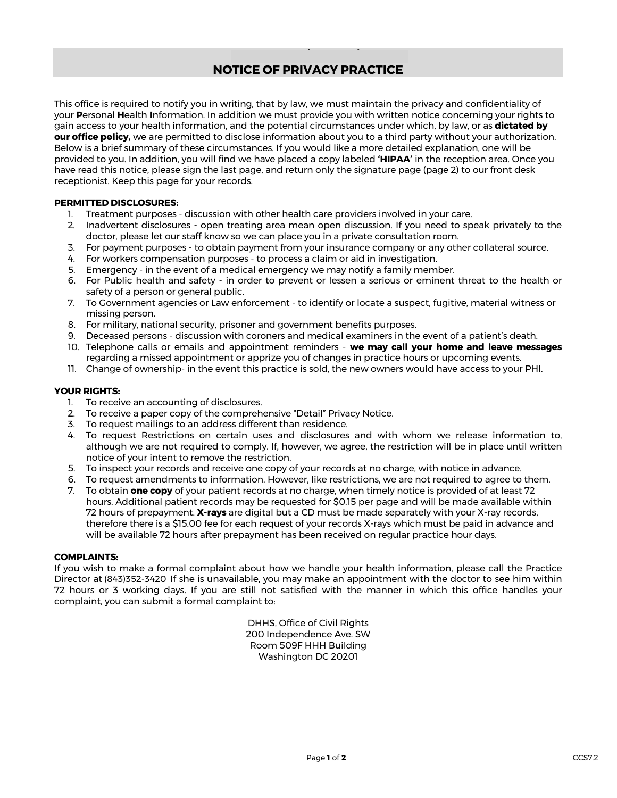## **NOTICE OF PRIVACY PRACTICE**

This office is required to notify you in writing, that by law, we must maintain the privacy and confidentiality of your **P**ersonal **H**ealth **I**nformation. In addition we must provide you with written notice concerning your rights to gain access to your health information, and the potential circumstances under which, by law, or as **dictated by our office policy,** we are permitted to disclose information about you to a third party without your authorization. Below is a brief summary of these circumstances. If you would like a more detailed explanation, one will be provided to you. In addition, you will find we have placed a copy labeled **'HIPAA'** in the reception area. Once you have read this notice, please sign the last page, and return only the signature page (page 2) to our front desk receptionist. Keep this page for your records.

#### **PERMITTED DISCLOSURES:**

- 1. Treatment purposes discussion with other health care providers involved in your care.
- 2. Inadvertent disclosures open treating area mean open discussion. If you need to speak privately to the doctor, please let our staff know so we can place you in a private consultation room.
- 3. For payment purposes to obtain payment from your insurance company or any other collateral source.
- 4. For workers compensation purposes to process a claim or aid in investigation.
- 5. Emergency in the event of a medical emergency we may notify a family member.
- 6. For Public health and safety in order to prevent or lessen a serious or eminent threat to the health or safety of a person or general public.
- 7. To Government agencies or Law enforcement to identify or locate a suspect, fugitive, material witness or missing person.
- 8. For military, national security, prisoner and government benefits purposes.
- 9. Deceased persons discussion with coroners and medical examiners in the event of a patient's death.
- 10. Telephone calls or emails and appointment reminders **we may call your home and leave messages** regarding a missed appointment or apprize you of changes in practice hours or upcoming events.
- 11. Change of ownership- in the event this practice is sold, the new owners would have access to your PHI.

#### **YOUR RIGHTS:**

- 1. To receive an accounting of disclosures.
- 2. To receive a paper copy of the comprehensive "Detail" Privacy Notice.
- 3. To request mailings to an address different than residence.
- 4. To request Restrictions on certain uses and disclosures and with whom we release information to, although we are not required to comply. If, however, we agree, the restriction will be in place until written notice of your intent to remove the restriction.
- 5. To inspect your records and receive one copy of your records at no charge, with notice in advance.
- 6. To request amendments to information. However, like restrictions, we are not required to agree to them.
- 7. To obtain **one copy** of your patient records at no charge, when timely notice is provided of at least 72 hours. Additional patient records may be requested for \$0.15 per page and will be made available within 72 hours of prepayment. **X-rays** are digital but a CD must be made separately with your X-ray records, therefore there is a \$15.00 fee for each request of your records X-rays which must be paid in advance and will be available 72 hours after prepayment has been received on regular practice hour days.

#### **COMPLAINTS:**

If you wish to make a formal complaint about how we handle your health information, please call the Practice Director at (843)352-3420 If she is unavailable, you may make an appointment with the doctor to see him within 72 hours or 3 working days. If you are still not satisfied with the manner in which this office handles your complaint, you can submit a formal complaint to:

> DHHS, Office of Civil Rights 200 Independence Ave. SW Room 509F HHH Building Washington DC 20201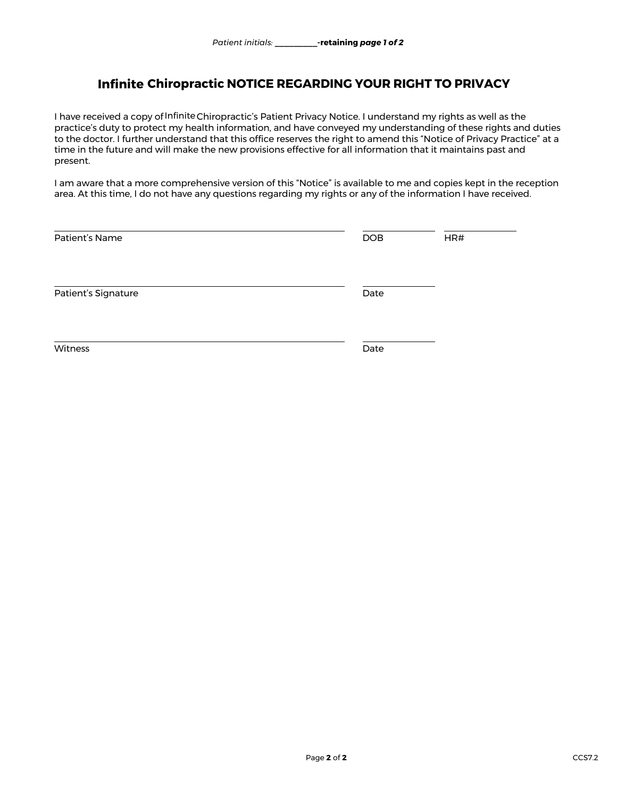# **Infinite Chiropractic NOTICE REGARDING YOUR RIGHT TO PRIVACY<br>eived a copy of Infinite Chiropractic's Patient Privacy Notice. I understand my rights as well as t**

I have received a copy of Infinite Chiropractic's Patient Privacy Notice. I understand my rights as well as the practice's duty to protect my health information, and have conveyed my understanding of these rights and duties to the doctor. I further understand that this office reserves the right to amend this "Notice of Privacy Practice" at a time in the future and will make the new provisions effective for all information that it maintains past and present.

I am aware that a more comprehensive version of this "Notice" is available to me and copies kept in the reception area. At this time, I do not have any questions regarding my rights or any of the information I have received.

| Patient's Name      | <b>DOB</b> | HR# |
|---------------------|------------|-----|
| Patient's Signature | Date       |     |
| Witness             | Date       |     |